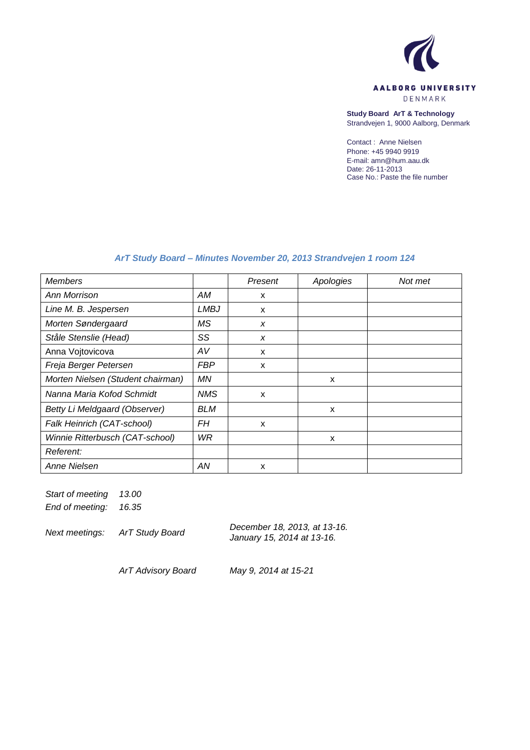

**Study Board ArT & Technology** Strandvejen 1, 9000 Aalborg, Denmark

Contact : Anne Nielsen Phone: +45 9940 9919 E-mail: amn@hum.aau.dk Date: 26-11-2013 Case No.: Paste the file number

# *ArT Study Board – Minutes November 20, 2013 Strandvejen 1 room 124*

| <b>Members</b>                    |            | Present | Apologies | Not met |
|-----------------------------------|------------|---------|-----------|---------|
| Ann Morrison                      | АM         | X       |           |         |
| Line M. B. Jespersen              | LMBJ       | X       |           |         |
| Morten Søndergaard                | <b>MS</b>  | X       |           |         |
| Ståle Stenslie (Head)             | SS         | X       |           |         |
| Anna Vojtovicova                  | AV         | X       |           |         |
| Freja Berger Petersen             | <b>FBP</b> | X       |           |         |
| Morten Nielsen (Student chairman) | ΜN         |         | X         |         |
| Nanna Maria Kofod Schmidt         | <b>NMS</b> | X       |           |         |
| Betty Li Meldgaard (Observer)     | <b>BLM</b> |         | X         |         |
| Falk Heinrich (CAT-school)        | FН         | X       |           |         |
| Winnie Ritterbusch (CAT-school)   | WR         |         | X         |         |
| Referent:                         |            |         |           |         |
| Anne Nielsen                      | AN         | X       |           |         |

*Start of meeting 13.00 End of meeting: 16.35*

*Next meetings: ArT Study Board December 18, 2013, at 13-16. January 15, 2014 at 13-16.*

*ArT Advisory Board May 9, 2014 at 15-21*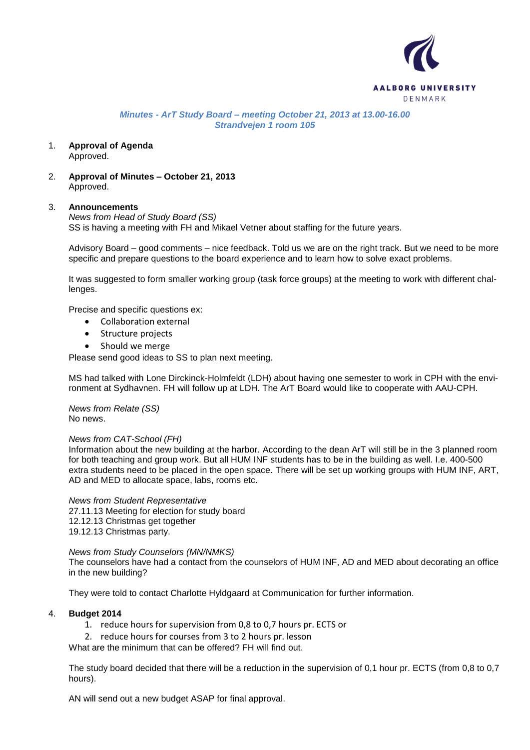

*Minutes - ArT Study Board – meeting October 21, 2013 at 13.00-16.00 Strandvejen 1 room 105*

- 1. **Approval of Agenda** Approved.
- 2. **Approval of Minutes – October 21, 2013** Approved.

### 3. **Announcements**

*News from Head of Study Board (SS)* SS is having a meeting with FH and Mikael Vetner about staffing for the future years.

Advisory Board – good comments – nice feedback. Told us we are on the right track. But we need to be more specific and prepare questions to the board experience and to learn how to solve exact problems.

It was suggested to form smaller working group (task force groups) at the meeting to work with different challenges.

Precise and specific questions ex:

- Collaboration external
- Structure projects
- Should we merge

Please send good ideas to SS to plan next meeting.

MS had talked with Lone Dirckinck-Holmfeldt (LDH) about having one semester to work in CPH with the environment at Sydhavnen. FH will follow up at LDH. The ArT Board would like to cooperate with AAU-CPH.

*News from Relate (SS)* No news.

### *News from CAT-School (FH)*

Information about the new building at the harbor. According to the dean ArT will still be in the 3 planned room for both teaching and group work. But all HUM INF students has to be in the building as well. I.e. 400-500 extra students need to be placed in the open space. There will be set up working groups with HUM INF, ART, AD and MED to allocate space, labs, rooms etc.

*News from Student Representative* 27.11.13 Meeting for election for study board 12.12.13 Christmas get together 19.12.13 Christmas party.

### *News from Study Counselors (MN/NMKS)*

The counselors have had a contact from the counselors of HUM INF, AD and MED about decorating an office in the new building?

They were told to contact Charlotte Hyldgaard at Communication for further information.

### 4. **Budget 2014**

1. reduce hours for supervision from 0,8 to 0,7 hours pr. ECTS or

2. reduce hours for courses from 3 to 2 hours pr. lesson

What are the minimum that can be offered? FH will find out.

The study board decided that there will be a reduction in the supervision of 0,1 hour pr. ECTS (from 0,8 to 0,7 hours).

AN will send out a new budget ASAP for final approval.